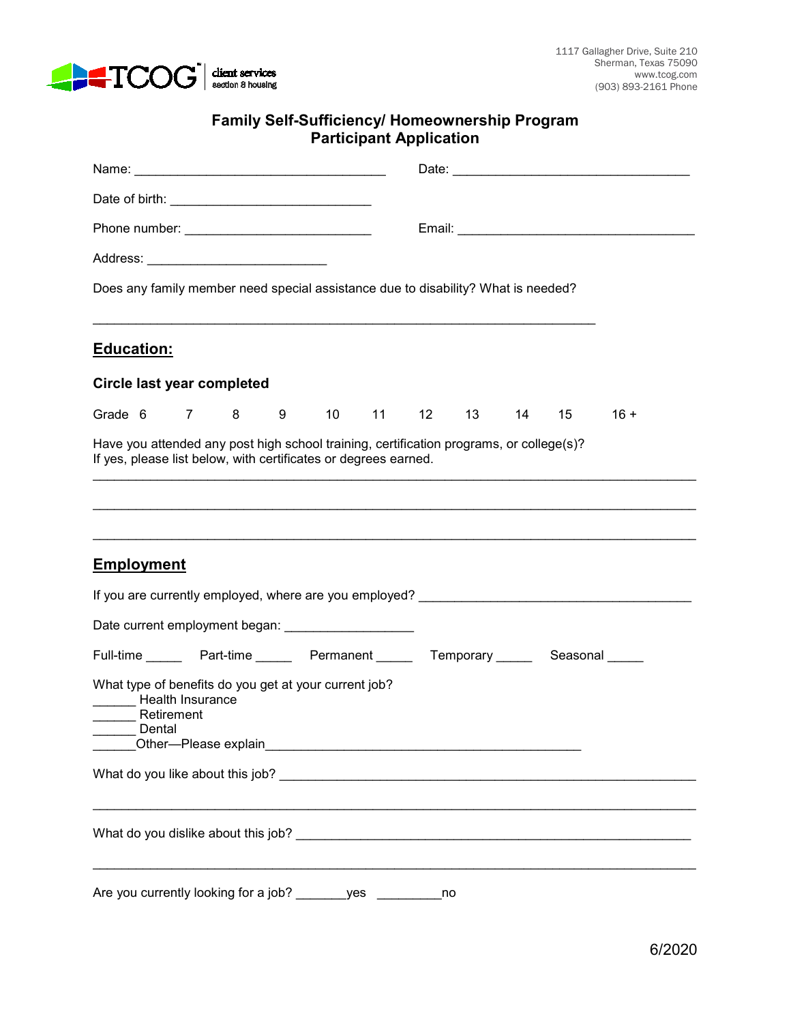

# **Family Self-Sufficiency/ Homeownership Program Participant Application**

| Address: _________________________________                                                               |                                                          |
|----------------------------------------------------------------------------------------------------------|----------------------------------------------------------|
| Does any family member need special assistance due to disability? What is needed?                        |                                                          |
| <b>Education:</b>                                                                                        |                                                          |
| Circle last year completed                                                                               |                                                          |
| Grade 6<br>8<br>7<br>9<br>10<br>11                                                                       | 12 <sup>2</sup><br>13 <sup>°</sup><br>14<br>15<br>$16 +$ |
| If yes, please list below, with certificates or degrees earned.<br><b>Employment</b>                     |                                                          |
|                                                                                                          |                                                          |
| Date current employment began: ____________________                                                      |                                                          |
| Full-time _______ Part-time _______ Permanent ______ Temporary ______ Seasonal _____                     |                                                          |
| What type of benefits do you get at your current job?<br><b>Health Insurance</b><br>Retirement<br>Dental |                                                          |
|                                                                                                          |                                                          |
| Are you currently looking for a job? _______ yes                                                         | no                                                       |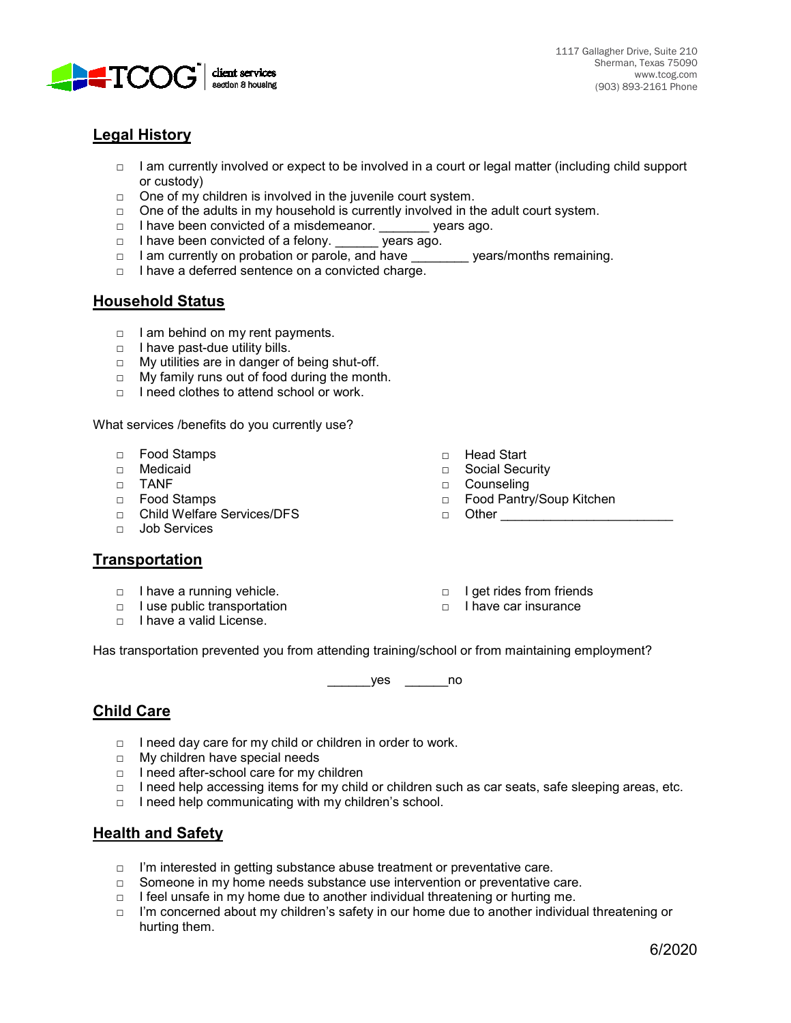

# **Legal History**

- $\Box$  I am currently involved or expect to be involved in a court or legal matter (including child support or custody)
- □ One of my children is involved in the juvenile court system.
- $\Box$  One of the adults in my household is currently involved in the adult court system.
- □ I have been convicted of a misdemeanor. \_\_\_\_\_\_\_\_ years ago.
- □ I have been convicted of a felony. years ago.
- □ I am currently on probation or parole, and have years/months remaining.
- □ I have a deferred sentence on a convicted charge.

#### **Household Status**

- □ I am behind on my rent payments.
- □ I have past-due utility bills.
- □ My utilities are in danger of being shut-off.
- □ My family runs out of food during the month.
- □ I need clothes to attend school or work.

What services /benefits do you currently use?

- □ Food Stamps
- □ Medicaid
- □ TANF
- □ Food Stamps
- □ Child Welfare Services/DFS
- □ Job Services

### **Transportation**

- □ I have a running vehicle.
- □ I use public transportation
- $\Box$  I have a valid License.
- □ Head Start
- □ Social Security
- □ Counseling
- □ Food Pantry/Soup Kitchen
- □ Other
- □ I get rides from friends
- □ I have car insurance

Has transportation prevented you from attending training/school or from maintaining employment?

\_\_\_\_\_\_yes \_\_\_\_\_\_no

### **Child Care**

- □ I need day care for my child or children in order to work.
- □ My children have special needs
- □ I need after-school care for my children
- □ I need help accessing items for my child or children such as car seats, safe sleeping areas, etc.
- □ I need help communicating with my children's school.

### **Health and Safety**

- □ I'm interested in getting substance abuse treatment or preventative care.
- $\Box$  Someone in my home needs substance use intervention or preventative care.
- $\Box$  I feel unsafe in my home due to another individual threatening or hurting me.
- □ I'm concerned about my children's safety in our home due to another individual threatening or hurting them.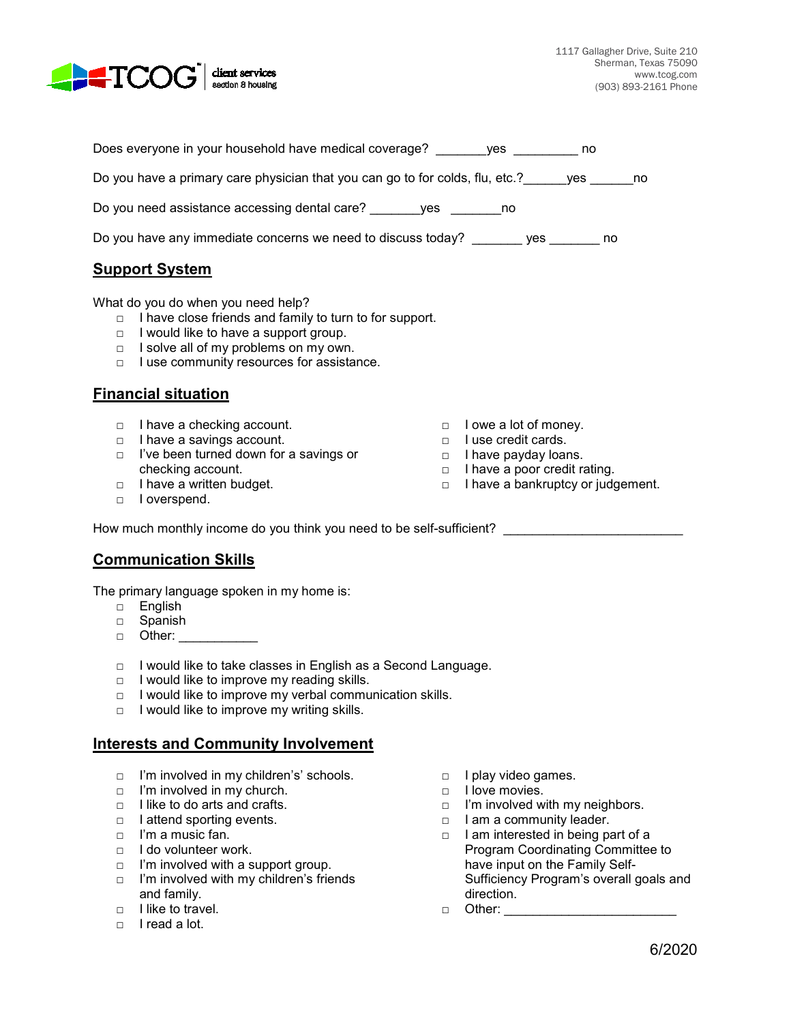

| Does everyone in your household have medical coverage? The sypes of the synchronom                                                                                                                                                                                                              |                                                                                                                                                                    |
|-------------------------------------------------------------------------------------------------------------------------------------------------------------------------------------------------------------------------------------------------------------------------------------------------|--------------------------------------------------------------------------------------------------------------------------------------------------------------------|
| Do you have a primary care physician that you can go to for colds, flu, etc.? yes                                                                                                                                                                                                               | no                                                                                                                                                                 |
| Do you need assistance accessing dental care? _______ yes _______ no                                                                                                                                                                                                                            |                                                                                                                                                                    |
| Do you have any immediate concerns we need to discuss today? ________ yes _______ no                                                                                                                                                                                                            |                                                                                                                                                                    |
| <b>Support System</b>                                                                                                                                                                                                                                                                           |                                                                                                                                                                    |
| What do you do when you need help?<br>$\Box$ I have close friends and family to turn to for support.<br>I would like to have a support group.<br>$\Box$<br>I solve all of my problems on my own.<br>$\Box$<br>I use community resources for assistance.<br>$\Box$<br><b>Financial situation</b> |                                                                                                                                                                    |
| I have a checking account.<br>$\Box$<br>I have a savings account.<br>$\Box$<br>I've been turned down for a savings or<br>$\Box$<br>checking account.<br>I have a written budget.<br>$\Box$                                                                                                      | $\Box$ lowe a lot of money.<br>I use credit cards.<br>□ I have payday loans.<br>$\Box$ I have a poor credit rating.<br>I have a bankruptcy or judgement.<br>$\Box$ |

- □ I have a written budget.
- □ I overspend.

How much monthly income do you think you need to be self-sufficient?

### **Communication Skills**

The primary language spoken in my home is:

- □ English
- □ Spanish
- □ Other:
- □ I would like to take classes in English as a Second Language.
- □ I would like to improve my reading skills.
- □ I would like to improve my verbal communication skills.
- □ I would like to improve my writing skills.

#### **Interests and Community Involvement**

- □ I'm involved in my children's' schools.
- $\Box$  I'm involved in my church.
- □ I like to do arts and crafts.
- □ I attend sporting events.
- □ I'm a music fan.
- □ I do volunteer work.
- □ I'm involved with a support group.
- □ I'm involved with my children's friends and family.
- □ I like to travel.
- $\Box$  I read a lot.
- □ I play video games.
- □ I love movies.
- □ I'm involved with my neighbors.
- □ I am a community leader.
- □ I am interested in being part of a Program Coordinating Committee to have input on the Family Self-Sufficiency Program's overall goals and direction.
- □ Other: